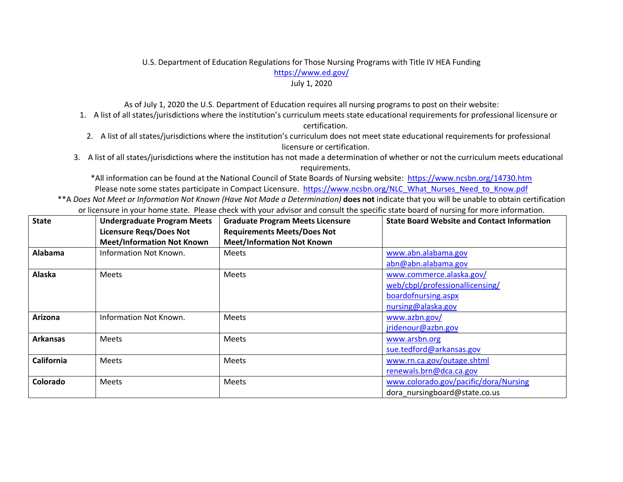## U.S. Department of Education Regulations for Those Nursing Programs with Title IV HEA Funding https://www.ed.gov/ July 1, 2020

As of July 1, 2020 the U.S. Department of Education requires all nursing programs to post on their website:

- 1. A list of all states/jurisdictions where the institution's curriculum meets state educational requirements for professional licensure or certification.
- 2. A list of all states/jurisdictions where the institution's curriculum does not meet state educational requirements for professional licensure or certification.
- 3. A list of all states/jurisdictions where the institution has not made a determination of whether or not the curriculum meets educational requirements.

\*All information can be found at the National Council of State Boards of Nursing website: https://www.ncsbn.org/14730.htm Please note some states participate in Compact Licensure. https://www.ncsbn.org/NLC\_What\_Nurses\_Need\_to\_Know.pdf

\*\*A *Does Not Meet or Information Not Known (Have Not Made a Determination)* **does not** indicate that you will be unable to obtain certification or licensure in your home state. Please check with your advisor and consult the specific state board of nursing for more information.

| <b>State</b>      | <b>Undergraduate Program Meets</b><br><b>Licensure Regs/Does Not</b> | <b>Graduate Program Meets Licensure</b><br><b>Requirements Meets/Does Not</b> | <b>State Board Website and Contact Information</b> |
|-------------------|----------------------------------------------------------------------|-------------------------------------------------------------------------------|----------------------------------------------------|
|                   | <b>Meet/Information Not Known</b>                                    | <b>Meet/Information Not Known</b>                                             |                                                    |
| Alabama           | Information Not Known.                                               | <b>Meets</b>                                                                  | www.abn.alabama.gov                                |
|                   |                                                                      |                                                                               | abn@abn.alabama.gov                                |
| Alaska            | <b>Meets</b>                                                         | <b>Meets</b>                                                                  | www.commerce.alaska.gov/                           |
|                   |                                                                      |                                                                               | web/cbpl/professionallicensing/                    |
|                   |                                                                      |                                                                               | boardofnursing.aspx                                |
|                   |                                                                      |                                                                               | nursing@alaska.gov                                 |
| <b>Arizona</b>    | Information Not Known.                                               | <b>Meets</b>                                                                  | www.azbn.gov/                                      |
|                   |                                                                      |                                                                               | jridenour@azbn.gov                                 |
| <b>Arkansas</b>   | <b>Meets</b>                                                         | <b>Meets</b>                                                                  | www.arsbn.org                                      |
|                   |                                                                      |                                                                               | sue.tedford@arkansas.gov                           |
| <b>California</b> | <b>Meets</b>                                                         | <b>Meets</b>                                                                  | www.rn.ca.gov/outage.shtml                         |
|                   |                                                                      |                                                                               | renewals.brn@dca.ca.gov                            |
| Colorado          | <b>Meets</b>                                                         | <b>Meets</b>                                                                  | www.colorado.gov/pacific/dora/Nursing              |
|                   |                                                                      |                                                                               | dora nursingboard@state.co.us                      |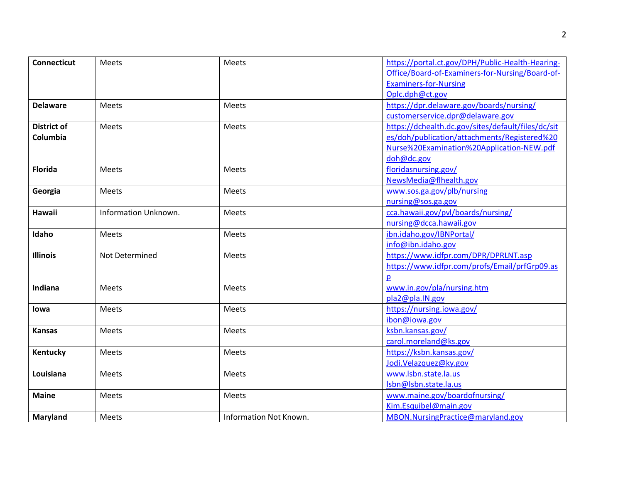| <b>Connecticut</b> | Meets                | Meets                  | https://portal.ct.gov/DPH/Public-Health-Hearing-   |
|--------------------|----------------------|------------------------|----------------------------------------------------|
|                    |                      |                        | Office/Board-of-Examiners-for-Nursing/Board-of-    |
|                    |                      |                        | <b>Examiners-for-Nursing</b>                       |
|                    |                      |                        | Oplc.dph@ct.gov                                    |
| <b>Delaware</b>    | <b>Meets</b>         | <b>Meets</b>           | https://dpr.delaware.gov/boards/nursing/           |
|                    |                      |                        | customerservice.dpr@delaware.gov                   |
| <b>District of</b> | <b>Meets</b>         | Meets                  | https://dchealth.dc.gov/sites/default/files/dc/sit |
| Columbia           |                      |                        | es/doh/publication/attachments/Registered%20       |
|                    |                      |                        | Nurse%20Examination%20Application-NEW.pdf          |
|                    |                      |                        | doh@dc.gov                                         |
| <b>Florida</b>     | Meets                | Meets                  | floridasnursing.gov/                               |
|                    |                      |                        | NewsMedia@flhealth.gov                             |
| Georgia            | <b>Meets</b>         | <b>Meets</b>           | www.sos.ga.gov/plb/nursing                         |
|                    |                      |                        | nursing@sos.ga.gov                                 |
| <b>Hawaii</b>      | Information Unknown. | <b>Meets</b>           | cca.hawaii.gov/pvl/boards/nursing/                 |
|                    |                      |                        | nursing@dcca.hawaii.gov                            |
| Idaho              | Meets                | Meets                  | ibn.idaho.gov/IBNPortal/                           |
|                    |                      |                        | info@ibn.idaho.gov                                 |
| <b>Illinois</b>    | Not Determined       | <b>Meets</b>           | https://www.idfpr.com/DPR/DPRLNT.asp               |
|                    |                      |                        | https://www.idfpr.com/profs/Email/prfGrp09.as      |
|                    |                      |                        | p                                                  |
| Indiana            | <b>Meets</b>         | Meets                  | www.in.gov/pla/nursing.htm                         |
|                    |                      |                        | pla2@pla.IN.gov                                    |
| lowa               | <b>Meets</b>         | Meets                  | https://nursing.iowa.gov/                          |
|                    |                      |                        | ibon@iowa.gov                                      |
| <b>Kansas</b>      | <b>Meets</b>         | Meets                  | ksbn.kansas.gov/                                   |
|                    |                      |                        | carol.moreland@ks.gov                              |
| Kentucky           | Meets                | <b>Meets</b>           | https://ksbn.kansas.gov/                           |
|                    |                      |                        | Jodi.Velazquez@ky.gov                              |
| Louisiana          | <b>Meets</b>         | <b>Meets</b>           | www.lsbn.state.la.us                               |
|                    |                      |                        | Isbn@lsbn.state.la.us                              |
| <b>Maine</b>       | <b>Meets</b>         | Meets                  | www.maine.gov/boardofnursing/                      |
|                    |                      |                        | Kim.Esquibel@main.gov                              |
| Maryland           | Meets                | Information Not Known. | MBON.NursingPractice@maryland.gov                  |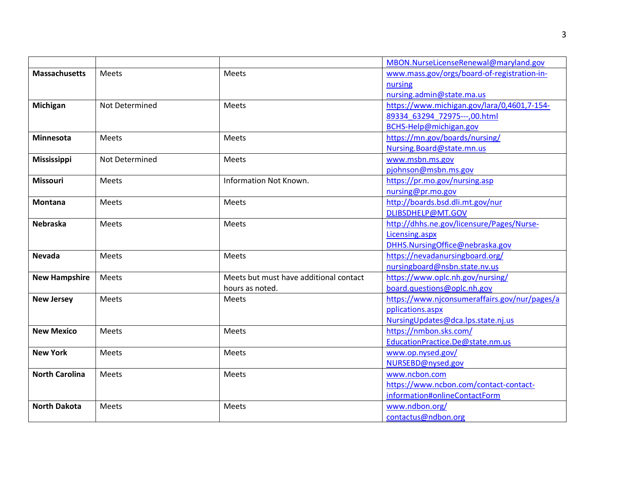|                       |                |                                        | MBON.NurseLicenseRenewal@maryland.gov         |
|-----------------------|----------------|----------------------------------------|-----------------------------------------------|
| <b>Massachusetts</b>  | Meets          | Meets                                  | www.mass.gov/orgs/board-of-registration-in-   |
|                       |                |                                        | nursing                                       |
|                       |                |                                        | nursing.admin@state.ma.us                     |
| Michigan              | Not Determined | Meets                                  | https://www.michigan.gov/lara/0,4601,7-154-   |
|                       |                |                                        | 89334 63294 72975---,00.html                  |
|                       |                |                                        | BCHS-Help@michigan.gov                        |
| Minnesota             | Meets          | Meets                                  | https://mn.gov/boards/nursing/                |
|                       |                |                                        | Nursing.Board@state.mn.us                     |
| Mississippi           | Not Determined | Meets                                  | www.msbn.ms.gov                               |
|                       |                |                                        | pjohnson@msbn.ms.gov                          |
| <b>Missouri</b>       | <b>Meets</b>   | <b>Information Not Known.</b>          | https://pr.mo.gov/nursing.asp                 |
|                       |                |                                        | nursing@pr.mo.gov                             |
| <b>Montana</b>        | <b>Meets</b>   | <b>Meets</b>                           | http://boards.bsd.dli.mt.gov/nur              |
|                       |                |                                        | DLIBSDHELP@MT.GOV                             |
| <b>Nebraska</b>       | <b>Meets</b>   | Meets                                  | http://dhhs.ne.gov/licensure/Pages/Nurse-     |
|                       |                |                                        | Licensing.aspx                                |
|                       |                |                                        | DHHS.NursingOffice@nebraska.gov               |
| <b>Nevada</b>         | <b>Meets</b>   | <b>Meets</b>                           | https://nevadanursingboard.org/               |
|                       |                |                                        | nursingboard@nsbn.state.nv.us                 |
| <b>New Hampshire</b>  | Meets          | Meets but must have additional contact | https://www.oplc.nh.gov/nursing/              |
|                       |                | hours as noted.                        | board.questions@oplc.nh.gov                   |
| <b>New Jersey</b>     | Meets          | Meets                                  | https://www.njconsumeraffairs.gov/nur/pages/a |
|                       |                |                                        | pplications.aspx                              |
|                       |                |                                        | NursingUpdates@dca.lps.state.nj.us            |
| <b>New Mexico</b>     | <b>Meets</b>   | <b>Meets</b>                           | https://nmbon.sks.com/                        |
|                       |                |                                        | EducationPractice.De@state.nm.us              |
| <b>New York</b>       | Meets          | <b>Meets</b>                           | www.op.nysed.gov/                             |
|                       |                |                                        | NURSEBD@nysed.gov                             |
| <b>North Carolina</b> | Meets          | Meets                                  | www.ncbon.com                                 |
|                       |                |                                        | https://www.ncbon.com/contact-contact-        |
|                       |                |                                        | information#onlineContactForm                 |
| <b>North Dakota</b>   | Meets          | Meets                                  | www.ndbon.org/                                |
|                       |                |                                        | contactus@ndbon.org                           |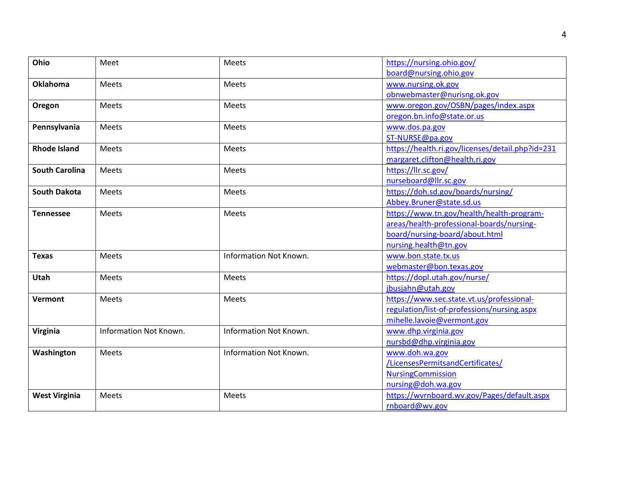| Ohio                  | Meet                   | Meets                         | https://nursing.ohio.gov/                        |
|-----------------------|------------------------|-------------------------------|--------------------------------------------------|
|                       |                        |                               | board@nursing.ohio.gov                           |
| <b>Oklahoma</b>       | <b>Meets</b>           | Meets                         | www.nursing.ok.gov                               |
|                       |                        |                               | obnwebmaster@nurisng.ok.gov                      |
| Oregon                | Meets                  | Meets                         | www.oregon.gov/OSBN/pages/index.aspx             |
|                       |                        |                               | oregon.bn.info@state.or.us                       |
| Pennsylvania          | Meets                  | Meets                         | www.dos.pa.gov                                   |
|                       |                        |                               | ST-NURSE@pa.gov                                  |
| <b>Rhode Island</b>   | Meets                  | Meets                         | https://health.ri.gov/licenses/detail.php?id=231 |
|                       |                        |                               | margaret.clifton@health.ri.gov                   |
| <b>South Carolina</b> | <b>Meets</b>           | Meets                         | https://llr.sc.gov/                              |
|                       |                        |                               | nurseboard@llr.sc.gov                            |
| <b>South Dakota</b>   | Meets                  | Meets                         | https://doh.sd.gov/boards/nursing/               |
|                       |                        |                               | Abbey.Bruner@state.sd.us                         |
| <b>Tennessee</b>      | Meets                  | Meets                         | https://www.tn.gov/health/health-program-        |
|                       |                        |                               | areas/health-professional-boards/nursing-        |
|                       |                        |                               | board/nursing-board/about.html                   |
|                       |                        |                               | nursing.health@tn.gov                            |
| <b>Texas</b>          | <b>Meets</b>           | <b>Information Not Known.</b> | www.bon.state.tx.us                              |
|                       |                        |                               | webmaster@bon.texas.gov                          |
| <b>Utah</b>           | <b>Meets</b>           | Meets                         | https://dopl.utah.gov/nurse/                     |
|                       |                        |                               | jbusjahn@utah.gov                                |
| Vermont               | <b>Meets</b>           | Meets                         | https://www.sec.state.vt.us/professional-        |
|                       |                        |                               | regulation/list-of-professions/nursing.aspx      |
|                       |                        |                               | mihelle.lavoie@vermont.gov                       |
| Virginia              | Information Not Known. | Information Not Known.        | www.dhp.virginia.gov                             |
|                       |                        |                               | nursbd@dhp.virginia.gov                          |
| Washington            | Meets                  | Information Not Known.        | www.doh.wa.gov                                   |
|                       |                        |                               | /LicensesPermitsandCertificates/                 |
|                       |                        |                               | <b>NursingCommission</b>                         |
|                       |                        |                               | nursing@doh.wa.gov                               |
| <b>West Virginia</b>  | <b>Meets</b>           | <b>Meets</b>                  | https://wvrnboard.wv.gov/Pages/default.aspx      |
|                       |                        |                               | rnboard@wv.gov                                   |